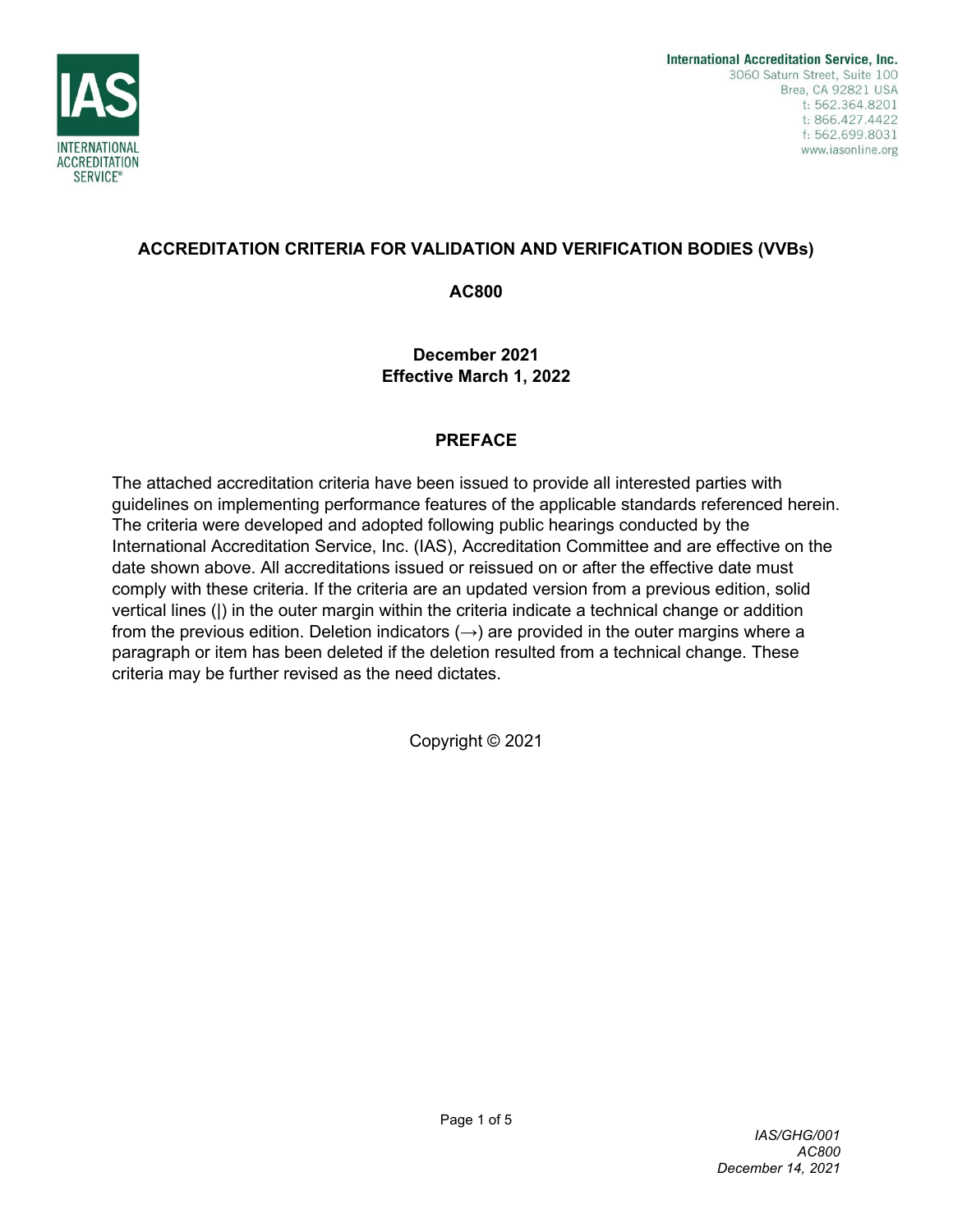

### **ACCREDITATION CRITERIA FOR VALIDATION AND VERIFICATION BODIES (VVBs)**

**AC800**

**December 2021 Effective March 1, 2022**

### **PREFACE**

The attached accreditation criteria have been issued to provide all interested parties with guidelines on implementing performance features of the applicable standards referenced herein. The criteria were developed and adopted following public hearings conducted by the International Accreditation Service, Inc. (IAS), Accreditation Committee and are effective on the date shown above. All accreditations issued or reissued on or after the effective date must comply with these criteria. If the criteria are an updated version from a previous edition, solid vertical lines (|) in the outer margin within the criteria indicate a technical change or addition from the previous edition. Deletion indicators  $(\rightarrow)$  are provided in the outer margins where a paragraph or item has been deleted if the deletion resulted from a technical change. These criteria may be further revised as the need dictates.

Copyright © 2021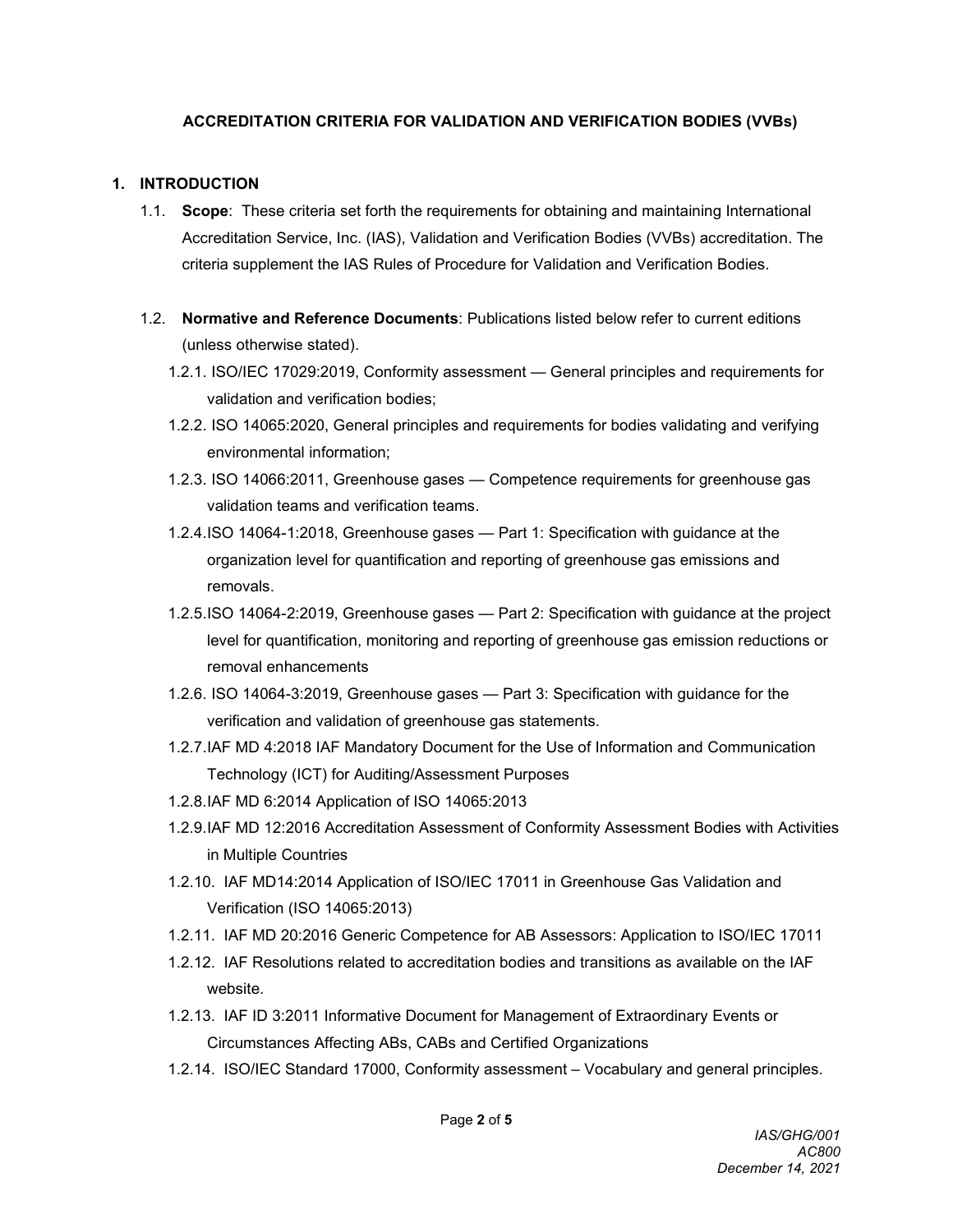### **ACCREDITATION CRITERIA FOR VALIDATION AND VERIFICATION BODIES (VVBs)**

#### **1. INTRODUCTION**

- 1.1. **Scope**: These criteria set forth the requirements for obtaining and maintaining International Accreditation Service, Inc. (IAS), Validation and Verification Bodies (VVBs) accreditation. The criteria supplement the IAS Rules of Procedure for Validation and Verification Bodies.
- 1.2. **Normative and Reference Documents**: Publications listed below refer to current editions (unless otherwise stated).
	- 1.2.1. ISO/IEC 17029:2019, Conformity assessment General principles and requirements for validation and verification bodies;
	- 1.2.2. ISO 14065:2020, General principles and requirements for bodies validating and verifying environmental information;
	- 1.2.3. ISO 14066:2011, Greenhouse gases Competence requirements for greenhouse gas validation teams and verification teams.
	- 1.2.4.ISO 14064-1:2018, Greenhouse gases Part 1: Specification with guidance at the organization level for quantification and reporting of greenhouse gas emissions and removals.
	- 1.2.5.ISO 14064-2:2019, Greenhouse gases Part 2: Specification with guidance at the project level for quantification, monitoring and reporting of greenhouse gas emission reductions or removal enhancements
	- 1.2.6. ISO 14064-3:2019, Greenhouse gases Part 3: Specification with guidance for the verification and validation of greenhouse gas statements.
	- 1.2.7.IAF MD 4:2018 IAF Mandatory Document for the Use of Information and Communication Technology (ICT) for Auditing/Assessment Purposes
	- 1.2.8.IAF MD 6:2014 Application of ISO 14065:2013
	- 1.2.9.IAF MD 12:2016 Accreditation Assessment of Conformity Assessment Bodies with Activities in Multiple Countries
	- 1.2.10. IAF MD14:2014 Application of ISO/IEC 17011 in Greenhouse Gas Validation and Verification (ISO 14065:2013)
	- 1.2.11. IAF MD 20:2016 Generic Competence for AB Assessors: Application to ISO/IEC 17011
	- 1.2.12. IAF Resolutions related to accreditation bodies and transitions as available on the IAF website.
	- 1.2.13. [IAF ID 3:2011 Informative Document for Management of Extraordinary Events or](https://iaf.nu/en/iaf-documents/?cat_id=10)  [Circumstances Affecting ABs, CABs and Certified Organizations](https://iaf.nu/en/iaf-documents/?cat_id=10)
	- 1.2.14. ISO/IEC Standard 17000, Conformity assessment Vocabulary and general principles.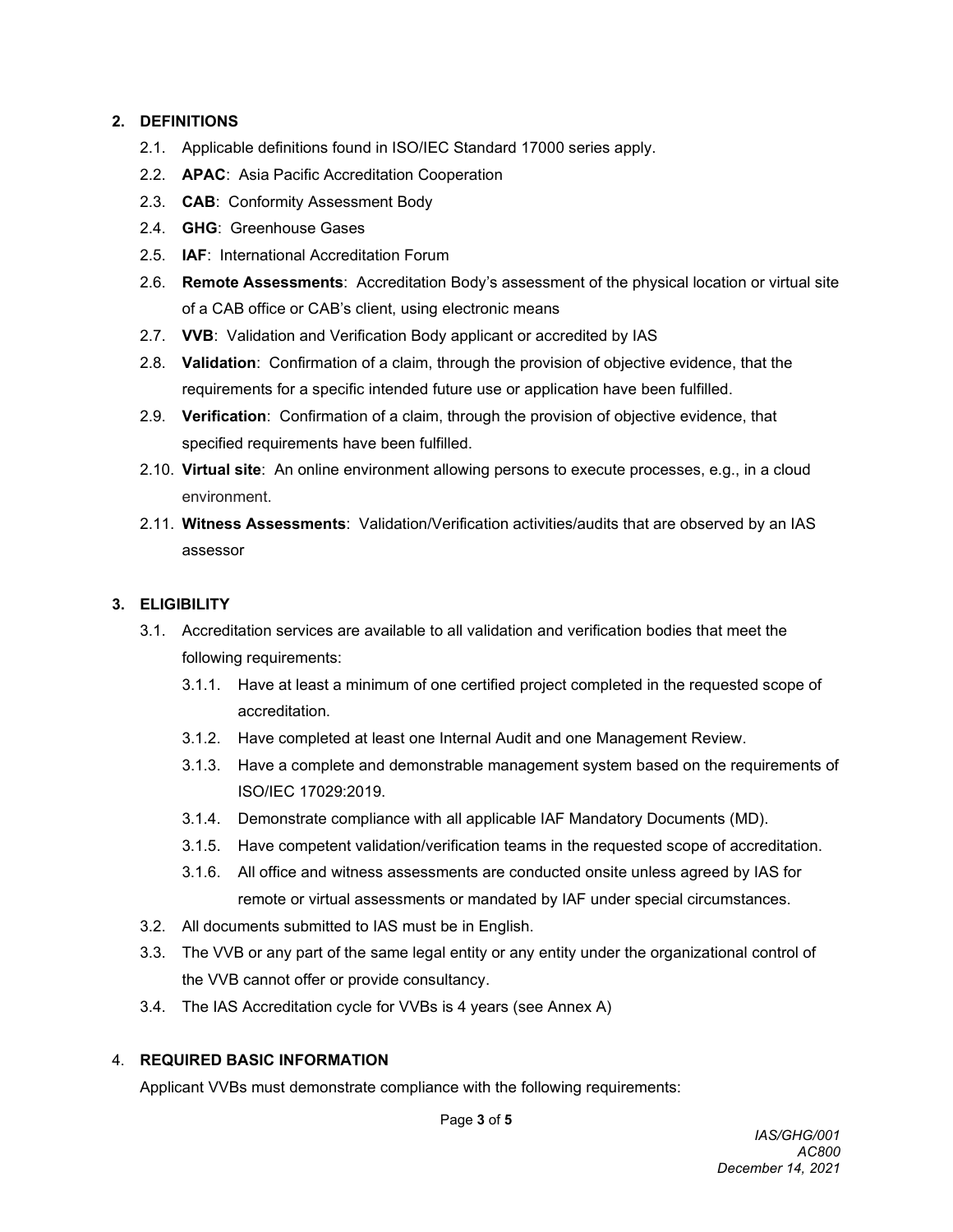#### **2. DEFINITIONS**

- 2.1. Applicable definitions found in ISO/IEC Standard 17000 series apply.
- 2.2. **APAC**: Asia Pacific Accreditation Cooperation
- 2.3. **CAB**: Conformity Assessment Body
- 2.4. **GHG**: Greenhouse Gases
- 2.5. **IAF**: International Accreditation Forum
- 2.6. **Remote Assessments**: Accreditation Body's assessment of the physical location or virtual site of a CAB office or CAB's client, using electronic means
- 2.7. **VVB**: Validation and Verification Body applicant or accredited by IAS
- 2.8. **Validation**: Confirmation of a claim, through the provision of objective evidence, that the requirements for a specific intended future use or application have been fulfilled.
- 2.9. **Verification**: Confirmation of a claim, through the provision of objective evidence, that specified requirements have been fulfilled.
- 2.10. **Virtual site**: An online environment allowing persons to execute processes, e.g., in a cloud environment.
- 2.11. **Witness Assessments**: Validation/Verification activities/audits that are observed by an IAS assessor

#### **3. ELIGIBILITY**

- 3.1. Accreditation services are available to all validation and verification bodies that meet the following requirements:
	- 3.1.1. Have at least a minimum of one certified project completed in the requested scope of accreditation.
	- 3.1.2. Have completed at least one Internal Audit and one Management Review.
	- 3.1.3. Have a complete and demonstrable management system based on the requirements of ISO/IEC 17029:2019.
	- 3.1.4. Demonstrate compliance with all applicable IAF Mandatory Documents (MD).
	- 3.1.5. Have competent validation/verification teams in the requested scope of accreditation.
	- 3.1.6. All office and witness assessments are conducted onsite unless agreed by IAS for remote or virtual assessments or mandated by IAF under special circumstances.
- 3.2. All documents submitted to IAS must be in English.
- 3.3. The VVB or any part of the same legal entity or any entity under the organizational control of the VVB cannot offer or provide consultancy.
- 3.4. The IAS Accreditation cycle for VVBs is 4 years (see Annex A)

#### 4. **REQUIRED BASIC INFORMATION**

Applicant VVBs must demonstrate compliance with the following requirements:

Page **3** of **5**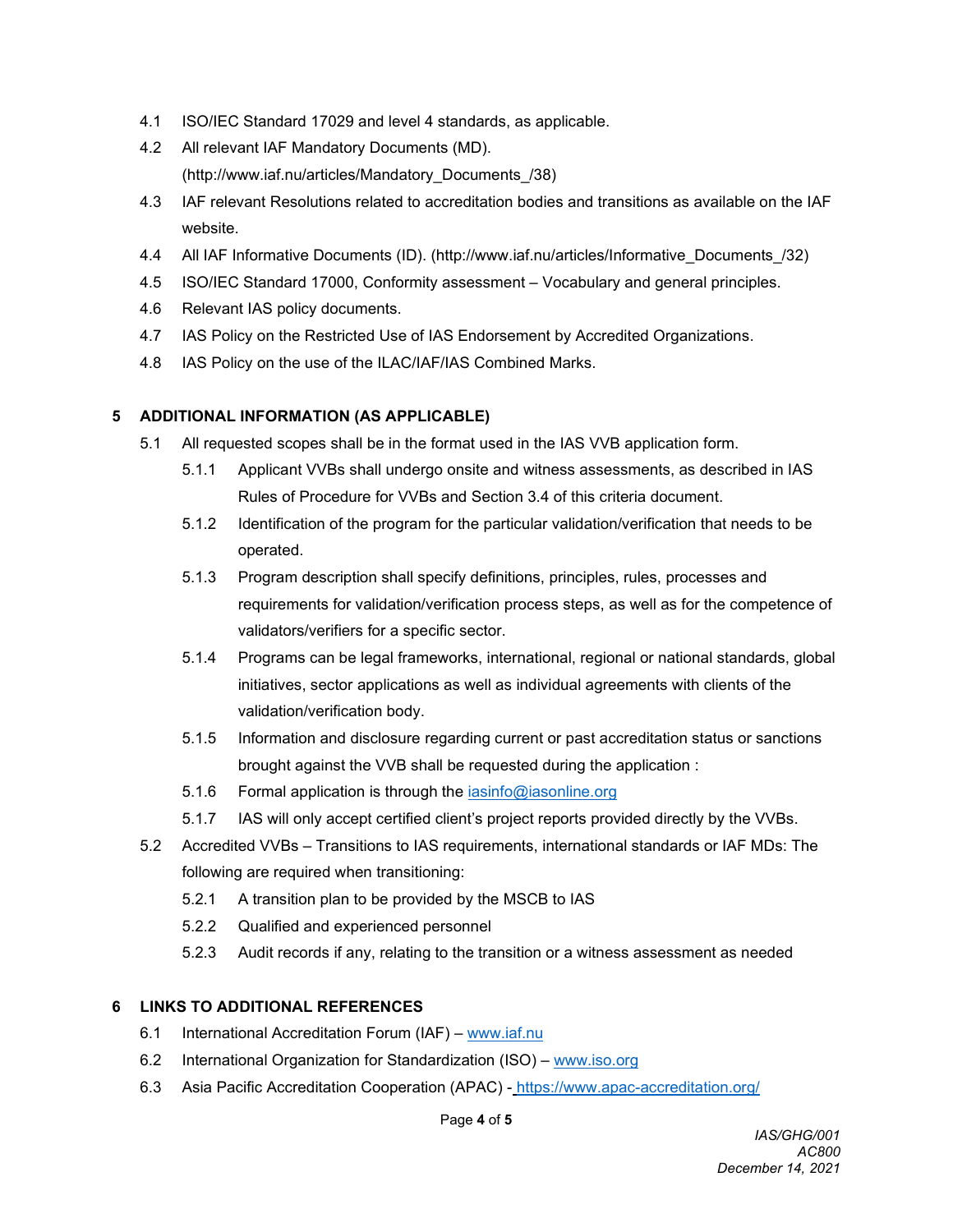- 4.1 ISO/IEC Standard 17029 and level 4 standards, as applicable.
- 4.2 All relevant IAF Mandatory Documents (MD). (http://www.iaf.nu/articles/Mandatory\_Documents\_/38)
- 4.3 IAF relevant Resolutions related to accreditation bodies and transitions as available on the IAF website.
- 4.4 All IAF Informative Documents (ID). (http://www.iaf.nu/articles/Informative\_Documents\_/32)
- 4.5 ISO/IEC Standard 17000, Conformity assessment Vocabulary and general principles.
- 4.6 Relevant IAS policy documents.
- 4.7 IAS Policy on the Restricted Use of IAS Endorsement by Accredited Organizations.
- 4.8 IAS Policy on the use of the ILAC/IAF/IAS Combined Marks.

#### **5 ADDITIONAL INFORMATION (AS APPLICABLE)**

- 5.1 All requested scopes shall be in the format used in the IAS VVB application form.
	- 5.1.1 Applicant VVBs shall undergo onsite and witness assessments, as described in IAS Rules of Procedure for VVBs and Section 3.4 of this criteria document.
	- 5.1.2 Identification of the program for the particular validation/verification that needs to be operated.
	- 5.1.3 Program description shall specify definitions, principles, rules, processes and requirements for validation/verification process steps, as well as for the competence of validators/verifiers for a specific sector.
	- 5.1.4 Programs can be legal frameworks, international, regional or national standards, global initiatives, sector applications as well as individual agreements with clients of the validation/verification body.
	- 5.1.5 Information and disclosure regarding current or past accreditation status or sanctions brought against the VVB shall be requested during the application :
	- 5.1.6 Formal application is through the *iasinfo@iasonline.org*
	- 5.1.7 IAS will only accept certified client's project reports provided directly by the VVBs.
- 5.2 Accredited VVBs Transitions to IAS requirements, international standards or IAF MDs: The following are required when transitioning:
	- 5.2.1 A transition plan to be provided by the MSCB to IAS
	- 5.2.2 Qualified and experienced personnel
	- 5.2.3 Audit records if any, relating to the transition or a witness assessment as needed

#### **6 LINKS TO ADDITIONAL REFERENCES**

- 6.1 International Accreditation Forum (IAF) [www.iaf.nu](https://crmsharepoint.iccsafe.org/sites/ias/shared%20documents/Accreditation%20Programs/Accd.Criteria/ACs/www.iaf.nu)
- 6.2 International Organization for Standardization (ISO) [www.iso.org](https://crmsharepoint.iccsafe.org/sites/ias/shared%20documents/Accreditation%20Programs/Accd.Criteria/ACs/www.iso.org)
- 6.3 Asia Pacific Accreditation Cooperation (APAC) <https://www.apac-accreditation.org/>